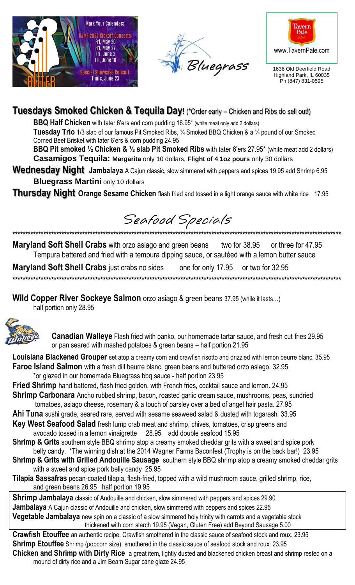





1636 Old Deerfield Road Highland Park, IL 60035 Ph (847) 831-0595

### **Tuesdays Smoked Chicken & Tequila Day!** (\*Order early – Chicken and Ribs do sell out!)

BBQ Half Chicken with tater 6'ers and corn pudding 16.95\* (white meat only add 2 dollars)

Tuesday Trio 1/3 slab of our famous Pit Smoked Ribs, 1/4 Smoked BBQ Chicken & a 1/4 pound of our Smoked Corned Beef Brisket with tater 6'ers & corn pudding 24.95

BBQ Pit smoked 1/2 Chicken & 1/2 slab Pit Smoked Ribs with tater 6'ers 27.95\* (white meat add 2 dollars) Casamigos Tequila: Margarita only 10 dollars, Flight of 4 1oz pours only 30 dollars

Wednesday Night Jambalaya A Cajun classic, slow simmered with peppers and spices 19.95 add Shrimp 6.95 **Bluegrass Martini only 10 dollars** 

**Thursday Night Orange Sesame Chicken** flash fried and tossed in a light orange sauce with white rice 17.95

Seafood Specials

Maryland Soft Shell Crabs with orzo asiago and green beans two for 38.95 or three for 47.95 Tempura battered and fried with a tempura dipping sauce, or sautéed with a lemon butter sauce

**Maryland Soft Shell Crabs** just crabs no sides one for only 17.95 or two for 32.95 

**Wild Copper River Sockeye Salmon** orzo asiago & green beans 37.95 (while it lasts...)

half portion only 28.95



Canadian Walleye Flash fried with panko, our homemade tartar sauce, and fresh cut fries 29.95 or pan seared with mashed potatoes & green beans - half portion 21.95

Louisiana Blackened Grouper set atop a creamy corn and crawfish risotto and drizzled with lemon beurre blanc. 35.95 Faroe Island Salmon with a fresh dill beurre blanc, green beans and buttered orzo asiago. 32.95

- \*or glazed in our homemade Bluegrass bbq sauce half portion 23.95
- **Fried Shrimp** hand battered, flash fried golden, with French fries, cocktail sauce and lemon. 24.95
- **Shrimp Carbonara** Ancho rubbed shrimp, bacon, roasted garlic cream sauce, mushrooms, peas, sundried tomatoes, asiago cheese, rosemary & a touch of parsley over a bed of angel hair pasta. 27.95
- Ahi Tuna sushi grade, seared rare, served with sesame seaweed salad & dusted with togarashi 33.95
- Key West Seafood Salad fresh lump crab meat and shrimp, chives, tomatoes, crisp greens and avocado tossed in a lemon vinaigrette 28.95 add double seafood 15.95
- **Shrimp & Grits** southern style BBQ shrimp atop a creamy smoked cheddar grits with a sweet and spice pork belly candy. \*The winning dish at the 2014 Wagner Farms Baconfest (Trophy is on the back bar!) 23.95
- Shrimp & Grits with Grilled Andouille Sausage southern style BBQ shrimp atop a creamy smoked cheddar grits with a sweet and spice pork belly candy 25.95
- Tilapia Sassafras pecan-coated tilapia, flash-fried, topped with a wild mushroom sauce, grilled shrimp, rice, and green beans 26.95 half portion 19.95

**Shrimp Jambalaya** classic of Andouille and chicken, slow simmered with peppers and spices 29.90 **Jambalaya** A Cajun classic of Andouille and chicken, slow simmered with peppers and spices 22.95 **Vegetable Jambalaya** new spin on a classic of a slow simmered holy trinity with carrots and a vegetable stock thickened with corn starch 19.95 (Vegan, Gluten Free) add Beyond Sausage 5.00

Crawfish Etouffee an authentic recipe. Crawfish smothered in the classic sauce of seafood stock and roux. 23.95 Shrimp Etouffee Shrimp (popcorn size), smothered in the classic sauce of seafood stock and roux. 23.95 Chicken and Shrimp with Dirty Rice a great item, lightly dusted and blackened chicken breast and shrimp rested on a mound of dirty rice and a Jim Beam Sugar cane glaze 24.95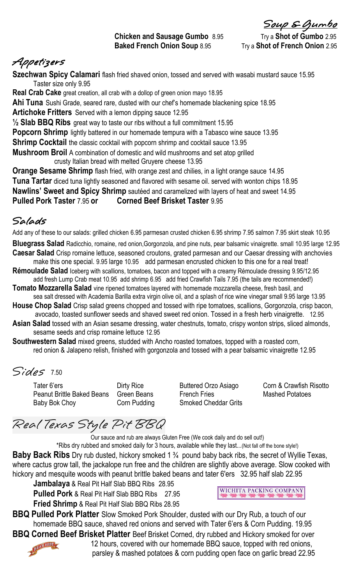#### **Chicken and Sausage Gumbo** 8.95 Try a **Shot of Gumbo** 2.95 **Baked French Onion Soup** 8.95 Try a Shot of French Onion 2.95

Soup & Gumbo

## Appetizers

**Szechwan Spicy Calamari** flash fried shaved onion, tossed and served with wasabi mustard sauce 15.95 Taster size only 9.95

**Real Crab Cake** great creation, all crab with a dollop of green onion mayo 18.95 **Ahi Tuna** Sushi Grade, seared rare, dusted with our chef's homemade blackening spice 18.95 **Artichoke Fritters** Served with a lemon dipping sauce 12.95 **½ Slab BBQ Ribs** great way to taste our ribs without a full commitment 15.95 **Popcorn Shrimp** lightly battered in our homemade tempura with a Tabasco wine sauce 13.95 **Shrimp Cocktail** the classic cocktail with popcorn shrimp and cocktail sauce 13.95 **Mushroom Broil** A combination of domestic and wild mushrooms and set atop grilled crusty Italian bread with melted Gruyere cheese 13.95

**Orange Sesame Shrimp** flash fried, with orange zest and chilies, in a light orange sauce 14.95 **Tuna Tartar** diced tuna lightly seasoned and flavored with sesame oil. served with wonton chips 18.95 **Nawlins' Sweet and Spicy Shrimp** sautéed and caramelized with layers of heat and sweet 14.95 **Pulled Pork Taster** 7.95 **or Corned Beef Brisket Taster** 9.95

#### Salads

Add any of these to our salads: grilled chicken 6.95 parmesan crusted chicken 6.95 shrimp 7.95 salmon 7.95 skirt steak 10.95

**Bluegrass Salad** Radicchio, romaine, red onion,Gorgonzola, and pine nuts, pear balsamic vinaigrette. small 10.95 large 12.95 **Caesar Salad** Crisp romaine lettuce, seasoned croutons, grated parmesan and our Caesar dressing with anchovies

- make this one special. 9.95 large 10.95 add parmesan encrusted chicken to this one for a real treat! **Rémoulade Salad** Iceberg with scallions, tomatoes, bacon and topped with a creamy Rémoulade dressing 9.95/12.95 add fresh Lump Crab meat 10.95 add shrimp 6.95 add fried Crawfish Tails 7.95 (the tails are recommended!)
- **Tomato Mozzarella Salad** vine ripened tomatoes layered with homemade mozzarella cheese, fresh basil, and
- sea salt dressed with Academia Barilla extra virgin olive oil, and a splash of rice wine vinegar small 9.95 large 13.95 **House Chop Salad** Crisp salad greens chopped and tossed with ripe tomatoes, scallions, Gorgonzola, crisp bacon, avocado, toasted sunflower seeds and shaved sweet red onion. Tossed in a fresh herb vinaigrette. 12.95
- **Asian Salad** tossed with an Asian sesame dressing, water chestnuts, tomato, crispy wonton strips, sliced almonds, sesame seeds and crisp romaine lettuce 12.95
- **Southwestern Salad** mixed greens, studded with Ancho roasted tomatoes, topped with a roasted corn, red onion & Jalapeno relish, finished with gorgonzola and tossed with a pear balsamic vinaigrette 12.95

Sides 7.50

Tater 6'ers **Dirty Rice** Buttered Orzo Asiago Corn & Crawfish Risotto Peanut Brittle Baked Beans Green Beans French Fries Mashed Potatoes Baby Bok Choy Corn Pudding Smoked Cheddar Grits

Real Texas Style Pit BBQ

Our sauce and rub are always Gluten Free (We cook daily and do sell out!) \*Ribs dry rubbed and smoked daily for 3 hours, available while they last...(Not fall off the bone style!) **Baby Back Ribs** Dry rub dusted, hickory smoked 1 <sup>3</sup>/4 pound baby back ribs, the secret of Wyllie Texas, where cactus grow tall, the jackalope run free and the children are slightly above average. Slow cooked with hickory and mesquite woods with peanut brittle baked beans and tater 6'ers 32.95 half slab 22.95

**Jambalaya** & Real Pit Half Slab BBQ Ribs 28.95 **Pulled Pork** & Real Pit Half Slab BBQ Ribs27.95

**Fried Shrimp** & Real Pit Half Slab BBQ Ribs 28.95

**WICHITA PACKING COMPANY** 

**BBQ Pulled Pork Platter** Slow Smoked Pork Shoulder, dusted with our Dry Rub, a touch of our homemade BBQ sauce, shaved red onions and served with Tater 6'ers & Corn Pudding. 19.95

**BBQ Corned Beef Brisket Platter** Beef Brisket Corned, dry rubbed and Hickory smoked for over<br>12 hours, covered with our homemade BBQ sauce, topped with red onions,<br>parsley & mashed potators & sauce, the sauce, topped with 12 hours, covered with our homemade BBQ sauce, topped with red onions,



parsley & mashed potatoes & corn pudding open face on garlic bread 22.95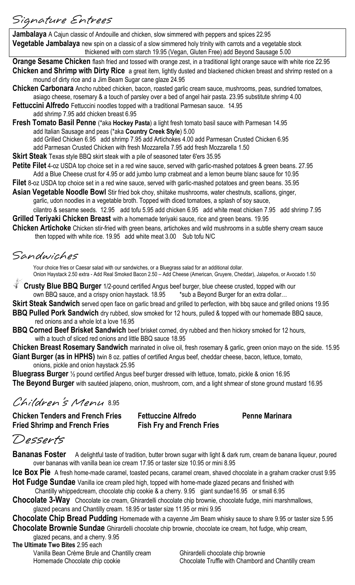### Signature Entrees

**Jambalaya** A Cajun classic of Andouille and chicken, slow simmered with peppers and spices 22.95 **Vegetable Jambalaya** new spin on a classic of a slow simmered holy trinity with carrots and a vegetable stock thickened with corn starch 19.95 (Vegan, Gluten Free) add Beyond Sausage 5.00

**Orange Sesame Chicken** flash fried and tossed with orange zest, in a traditional light orange sauce with white rice 22.95 **Chicken and Shrimp with Dirty Rice** a great item, lightly dusted and blackened chicken breast and shrimp rested on a mound of dirty rice and a Jim Beam Sugar cane glaze 24.95

- **Chicken Carbonara** Ancho rubbed chicken, bacon, roasted garlic cream sauce, mushrooms, peas, sundried tomatoes, asiago cheese, rosemary & a touch of parsley over a bed of angel hair pasta. 23.95 substitute shrimp 4.00
- **Fettuccini Alfredo** Fettuccini noodles topped with a traditional Parmesan sauce. 14.95

add shrimp 7.95 add chicken breast 6.95

**Fresh Tomato Basil Penne** (\*aka **Hockey Pasta**) a light fresh tomato basil sauce with Parmesan 14.95 add Italian Sausage and peas (\*aka **Country Creek Style**) 5.00 add Grilled Chicken 6.95 add shrimp 7.95 add Artichokes 4.00 add Parmesan Crusted Chicken 6.95

add Parmesan Crusted Chicken with fresh Mozzarella 7.95 add fresh Mozzarella 1.50

**Skirt Steak** Texas style BBQ skirt steak with a pile of seasoned tater 6'ers 35.95

**Petite Filet** 4-oz USDA top choice set in a red wine sauce, served with garlic-mashed potatoes & green beans. 27.95 Add a Blue Cheese crust for 4.95 or add jumbo lump crabmeat and a lemon beurre blanc sauce for 10.95

**Filet** 8-oz USDA top choice set in a red wine sauce, served with garlic-mashed potatoes and green beans. 35.95

**Asian Vegetable Noodle Bowl** Stir fried bok choy, shiitake mushrooms, water chestnuts, scallions, ginger, garlic, udon noodles in a vegetable broth. Topped with diced tomatoes, a splash of soy sauce,

cilantro & sesame seeds. 12.95 add tofu 5.95 add chicken 6.95 add white meat chicken 7.95 add shrimp 7.95 **Grilled Teriyaki Chicken Breast** with a homemade teriyaki sauce, rice and green beans. 19.95

**Chicken Artichoke** Chicken stir-fried with green beans, artichokes and wild mushrooms in a subtle sherry cream sauce then topped with white rice. 19.95add white meat 3.00 Sub tofu N/C

Sandwiches

Your choice fries or Caesar salad with our sandwiches, or a Bluegrass salad for an additional dollar. Onion Haystack 2.50 extra - Add Real Smoked Bacon 2.50 – Add Cheese (American, Gruyere, Cheddar), Jalapeños, or Avocado 1.50

**Crusty Blue BBQ Burger** 1/2-pound certified Angus beef burger, blue cheese crusted, topped with our own BBQ sauce, and a crispy onion haystack. 18.95 \*sub a Beyond Burger for an extra dollar...

**Skirt Steak Sandwich** served open face on garlic bread and grilled to perfection, with bbq sauce and grilled onions 19.95

**BBQ Pulled Pork Sandwich** dry rubbed, slow smoked for 12 hours, pulled & topped with our homemade BBQ sauce, red onions and a whole lot a love 16.95

**BBQ Corned Beef Brisket Sandwich** beef brisket corned, dry rubbed and then hickory smoked for 12 hours, with a touch of sliced red onions and little BBQ sauce 18.95

**Chicken Breast Rosemary Sandwich** marinated in olive oil, fresh rosemary & garlic, green onion mayo on the side. 15.95 **Giant Burger (as in HPHS)** twin 8 oz. patties of certified Angus beef, cheddar cheese, bacon, lettuce, tomato, onions, pickle and onion haystack 25.95

**Bluegrass Burger** ½ pound certified Angus beef burger dressed with lettuce, tomato, pickle & onion 16.95 **The Beyond Burger** with sautéed jalapeno, onion, mushroom, corn, and a light shmear of stone ground mustard 16.95

### Children's Menu 8.95

**Chicken Tenders and French Fries Fettuccine Alfredo Penne Marinara Fried Shrimp and French Fries Fish Fry and French Fries**

### Desserts

**Bananas Foster** A delightful taste of tradition, butter brown sugar with light & dark rum, cream de banana liqueur, poured over bananas with vanilla bean ice cream 17.95 or taster size 10.95 or mini 8.95

**Ice Box Pie** A fresh home-made caramel, toasted pecans, caramel cream, shaved chocolate in a graham cracker crust 9.95

**Hot Fudge Sundae** Vanilla ice cream piled high, topped with home-made glazed pecans and finished with

Chantilly whippedcream, chocolate chip cookie & a cherry. 9.95 giant sundae16.95 or small 6.95

**Chocolate 3-Way** Chocolate ice cream, Ghirardelli chocolate chip brownie, chocolate fudge, mini marshmallows, glazed pecans and Chantilly cream. 18.95 or taster size 11.95 or mini 9.95

**Chocolate Chip Bread Pudding** Homemade with a cayenne Jim Beam whisky sauce to share 9.95 or taster size 5.95 **Chocolate Brownie Sundae** Ghirardelli chocolate chip brownie, chocolate ice cream, hot fudge, whip cream,

glazed pecans, and a cherry. 9.95

**The Ultimate Two Bites** 2.95 each Vanilla Bean Crème Brule and Chantilly cream Ghirardelli chocolate chip brownie

Homemade Chocolate chip cookie Chocolate Chocolate Truffle with Chambord and Chantilly cream